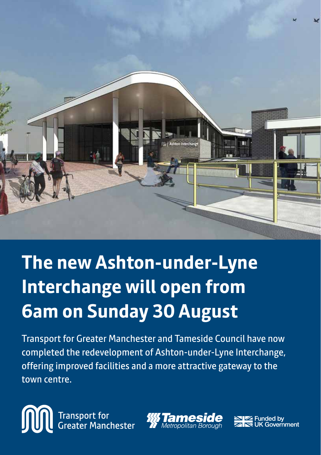

# **The new Ashton-under-Lyne Interchange will open from 6am on Sunday 30 August**

Transport for Greater Manchester and Tameside Council have now completed the redevelopment of Ashton-under-Lyne Interchange, offering improved facilities and a more attractive gateway to the town centre.

Transport for<br>Greater Manchester M



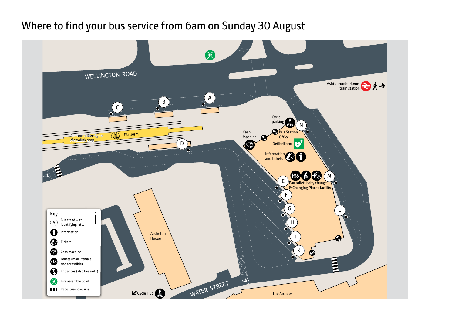## Where to find your bus service from 6am on Sunday 30 August

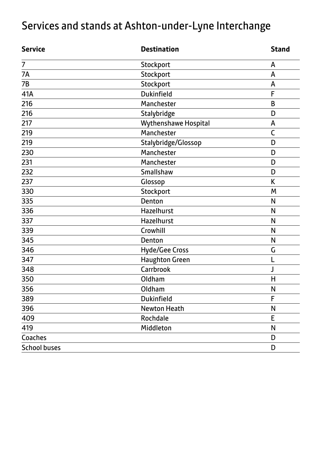## Services and stands at Ashton-under-Lyne Interchange

| <b>Service</b>      | <b>Destination</b>    | <b>Stand</b> |
|---------------------|-----------------------|--------------|
| 7                   | Stockport             | А            |
| 7A                  | Stockport             | А            |
| 7B                  | Stockport             | А            |
| 41A                 | Dukinfield            | F            |
| 216                 | Manchester            | B            |
| 216                 | Stalybridge           | D            |
| 217                 | Wythenshawe Hospital  | А            |
| 219                 | Manchester            | C            |
| 219                 | Stalybridge/Glossop   | D            |
| 230                 | Manchester            | D            |
| 231                 | Manchester            | D            |
| 232                 | Smallshaw             | D            |
| 237                 | Glossop               | K            |
| 330                 | Stockport             | М            |
| 335                 | Denton                | N            |
| 336                 | Hazelhurst            | N            |
| 337                 | Hazelhurst            | N            |
| 339                 | Crowhill              | N            |
| 345                 | Denton                | N            |
| 346                 | Hyde/Gee Cross        | G            |
| 347                 | <b>Haughton Green</b> | L            |
| 348                 | Carrbrook             | J            |
| 350                 | Oldham                | H            |
| 356                 | Oldham                | N            |
| 389                 | Dukinfield            | F            |
| 396                 | Newton Heath          | N            |
| 409                 | Rochdale              | E            |
| 419                 | Middleton             | N            |
| Coaches             |                       | D            |
| <b>School buses</b> |                       | D            |